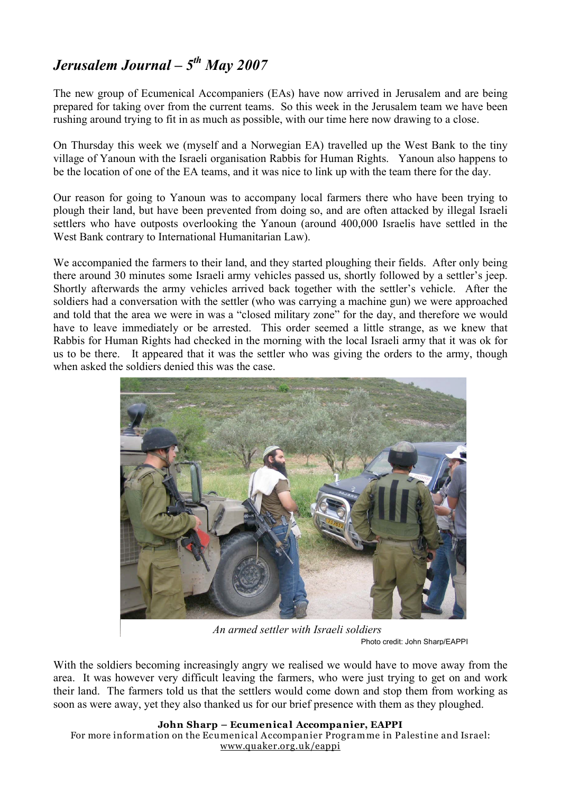## *Jerusalem Journal – 5th May 2007*

The new group of Ecumenical Accompaniers (EAs) have now arrived in Jerusalem and are being prepared for taking over from the current teams. So this week in the Jerusalem team we have been rushing around trying to fit in as much as possible, with our time here now drawing to a close.

On Thursday this week we (myself and a Norwegian EA) travelled up the West Bank to the tiny village of Yanoun with the Israeli organisation Rabbis for Human Rights. Yanoun also happens to be the location of one of the EA teams, and it was nice to link up with the team there for the day.

Our reason for going to Yanoun was to accompany local farmers there who have been trying to plough their land, but have been prevented from doing so, and are often attacked by illegal Israeli settlers who have outposts overlooking the Yanoun (around 400,000 Israelis have settled in the West Bank contrary to International Humanitarian Law).

We accompanied the farmers to their land, and they started ploughing their fields. After only being there around 30 minutes some Israeli army vehicles passed us, shortly followed by a settler's jeep. Shortly afterwards the army vehicles arrived back together with the settler's vehicle. After the soldiers had a conversation with the settler (who was carrying a machine gun) we were approached and told that the area we were in was a "closed military zone" for the day, and therefore we would have to leave immediately or be arrested. This order seemed a little strange, as we knew that Rabbis for Human Rights had checked in the morning with the local Israeli army that it was ok for us to be there. It appeared that it was the settler who was giving the orders to the army, though when asked the soldiers denied this was the case.



*An armed settler with Israeli soldiers* Photo credit: John Sharp/EAPPI

With the soldiers becoming increasingly angry we realised we would have to move away from the area. It was however very difficult leaving the farmers, who were just trying to get on and work their land. The farmers told us that the settlers would come down and stop them from working as soon as were away, yet they also thanked us for our brief presence with them as they ploughed.

## **John Sharp – Ecumenical Accompanier, EAPPI**

For more information on the Ecumenical Accompanier Programme in Palestine and Israel: www.quaker.org.uk/eappi